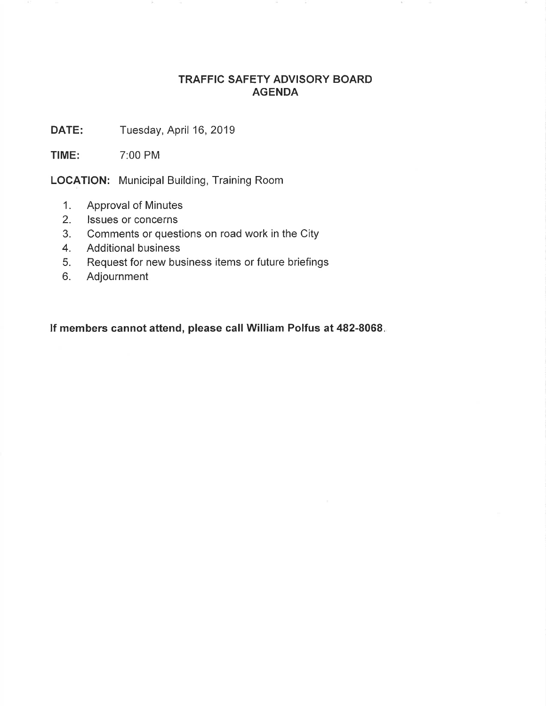## TRAFFIC SAFETY ADVISORY BOARD AGENDA

DATE: Tuesday, April 16, 2019

TIME: 7:00 PM

LOCATION: Municipal Building, Training Room

- 1. Approval of Minutes
- 2. lssues or concerns
- 3. Comments or questions on road work in the City
- 4, Additional business
- 5. Request for new business items or future briefings
- 6. Adjournment

lf members cannot attend, please call William Polfus at 482-8068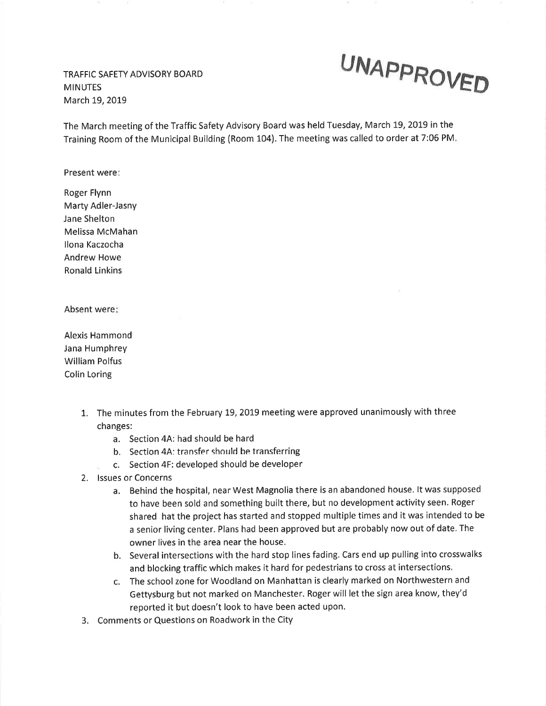TRAFFIC SAFETY ADVISORY BOARD **MINUTES** March 19, 2019



The March meeting of the Traffic Safety Advisory Board was held Tuesday, March 19, 2019 in the Training Room of the Municipal Building (Room 104). The meeting was called to order at 7:06 PM.

Present were

Roger Flynn Marty Adler-Jasny Jane Shelton Melissa McMahan llona Kaczocha Andrew Howe Ronald Linkins

Absent were

Alexis Hammond Jana Humphrey William Polfus Colin Loring

- 1. The minutes from the February L9,2OI9 meeting were approved unanimously with three changes:
	- a. Section 4A: had should be hard
	- b. Section 4A: transfer should be transferring
	- . c. Section 4F: developed should be developer
- 2. lssues or Concerns
	- a. Behind the hospital, near West Magnolia there is an abandoned house. lt was supposed to have been sold and something built there, but no development activity seen. Roger shared hat the project has started and stopped multiple times and it was intended to be a senior living center. Plans had been approved but are probably now out of date. The owner lives in the area near the house.
	- b. Several intersections with the hard stop lines fading. Cars end up pulling into crosswalks and blocking traffic which makes it hard for pedestrians to cross at intersections.
	- c. The school zone for Woodland on Manhattan is clearly marked on Northwestern and Gettysburg but not marked on Manchester. Roger will let the sign area know, they'd reported it but doesn't look to have been acted upon.
- 3. Comments or Questions on Roadwork in the City